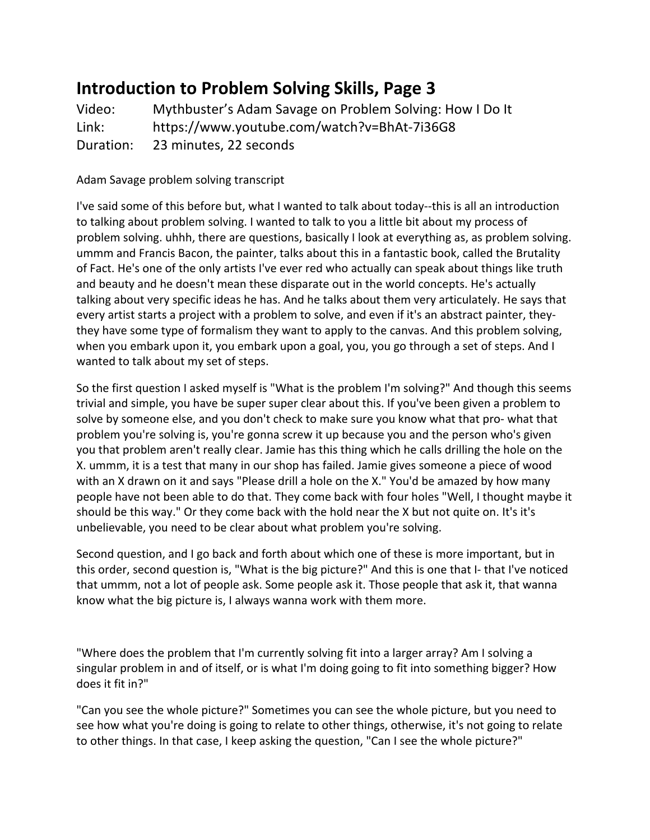## **Introduction to Problem Solving Skills, Page 3**

Video: Mythbuster's Adam Savage on Problem Solving: How I Do It Link: https://www.youtube.com/watch?v=BhAt-7i36G8 Duration: 23 minutes, 22 seconds

Adam Savage problem solving transcript

I've said some of this before but, what I wanted to talk about today--this is all an introduction to talking about problem solving. I wanted to talk to you a little bit about my process of problem solving. uhhh, there are questions, basically I look at everything as, as problem solving. ummm and Francis Bacon, the painter, talks about this in a fantastic book, called the Brutality of Fact. He's one of the only artists I've ever red who actually can speak about things like truth and beauty and he doesn't mean these disparate out in the world concepts. He's actually talking about very specific ideas he has. And he talks about them very articulately. He says that every artist starts a project with a problem to solve, and even if it's an abstract painter, theythey have some type of formalism they want to apply to the canvas. And this problem solving, when you embark upon it, you embark upon a goal, you, you go through a set of steps. And I wanted to talk about my set of steps.

So the first question I asked myself is "What is the problem I'm solving?" And though this seems trivial and simple, you have be super super clear about this. If you've been given a problem to solve by someone else, and you don't check to make sure you know what that pro- what that problem you're solving is, you're gonna screw it up because you and the person who's given you that problem aren't really clear. Jamie has this thing which he calls drilling the hole on the X. ummm, it is a test that many in our shop has failed. Jamie gives someone a piece of wood with an X drawn on it and says "Please drill a hole on the X." You'd be amazed by how many people have not been able to do that. They come back with four holes "Well, I thought maybe it should be this way." Or they come back with the hold near the X but not quite on. It's it's unbelievable, you need to be clear about what problem you're solving.

Second question, and I go back and forth about which one of these is more important, but in this order, second question is, "What is the big picture?" And this is one that I- that I've noticed that ummm, not a lot of people ask. Some people ask it. Those people that ask it, that wanna know what the big picture is, I always wanna work with them more.

"Where does the problem that I'm currently solving fit into a larger array? Am I solving a singular problem in and of itself, or is what I'm doing going to fit into something bigger? How does it fit in?"

"Can you see the whole picture?" Sometimes you can see the whole picture, but you need to see how what you're doing is going to relate to other things, otherwise, it's not going to relate to other things. In that case, I keep asking the question, "Can I see the whole picture?"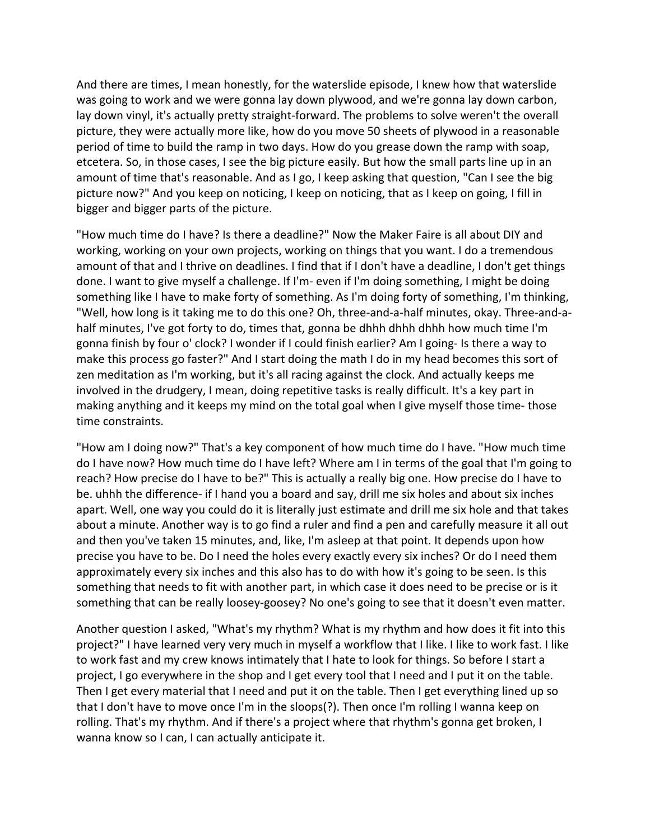And there are times, I mean honestly, for the waterslide episode, I knew how that waterslide was going to work and we were gonna lay down plywood, and we're gonna lay down carbon, lay down vinyl, it's actually pretty straight-forward. The problems to solve weren't the overall picture, they were actually more like, how do you move 50 sheets of plywood in a reasonable period of time to build the ramp in two days. How do you grease down the ramp with soap, etcetera. So, in those cases, I see the big picture easily. But how the small parts line up in an amount of time that's reasonable. And as I go, I keep asking that question, "Can I see the big picture now?" And you keep on noticing, I keep on noticing, that as I keep on going, I fill in bigger and bigger parts of the picture.

"How much time do I have? Is there a deadline?" Now the Maker Faire is all about DIY and working, working on your own projects, working on things that you want. I do a tremendous amount of that and I thrive on deadlines. I find that if I don't have a deadline, I don't get things done. I want to give myself a challenge. If I'm- even if I'm doing something, I might be doing something like I have to make forty of something. As I'm doing forty of something, I'm thinking, "Well, how long is it taking me to do this one? Oh, three-and-a-half minutes, okay. Three-and-ahalf minutes, I've got forty to do, times that, gonna be dhhh dhhh dhhh how much time I'm gonna finish by four o' clock? I wonder if I could finish earlier? Am I going- Is there a way to make this process go faster?" And I start doing the math I do in my head becomes this sort of zen meditation as I'm working, but it's all racing against the clock. And actually keeps me involved in the drudgery, I mean, doing repetitive tasks is really difficult. It's a key part in making anything and it keeps my mind on the total goal when I give myself those time- those time constraints.

"How am I doing now?" That's a key component of how much time do I have. "How much time do I have now? How much time do I have left? Where am I in terms of the goal that I'm going to reach? How precise do I have to be?" This is actually a really big one. How precise do I have to be. uhhh the difference- if I hand you a board and say, drill me six holes and about six inches apart. Well, one way you could do it is literally just estimate and drill me six hole and that takes about a minute. Another way is to go find a ruler and find a pen and carefully measure it all out and then you've taken 15 minutes, and, like, I'm asleep at that point. It depends upon how precise you have to be. Do I need the holes every exactly every six inches? Or do I need them approximately every six inches and this also has to do with how it's going to be seen. Is this something that needs to fit with another part, in which case it does need to be precise or is it something that can be really loosey-goosey? No one's going to see that it doesn't even matter.

Another question I asked, "What's my rhythm? What is my rhythm and how does it fit into this project?" I have learned very very much in myself a workflow that I like. I like to work fast. I like to work fast and my crew knows intimately that I hate to look for things. So before I start a project, I go everywhere in the shop and I get every tool that I need and I put it on the table. Then I get every material that I need and put it on the table. Then I get everything lined up so that I don't have to move once I'm in the sloops(?). Then once I'm rolling I wanna keep on rolling. That's my rhythm. And if there's a project where that rhythm's gonna get broken, I wanna know so I can, I can actually anticipate it.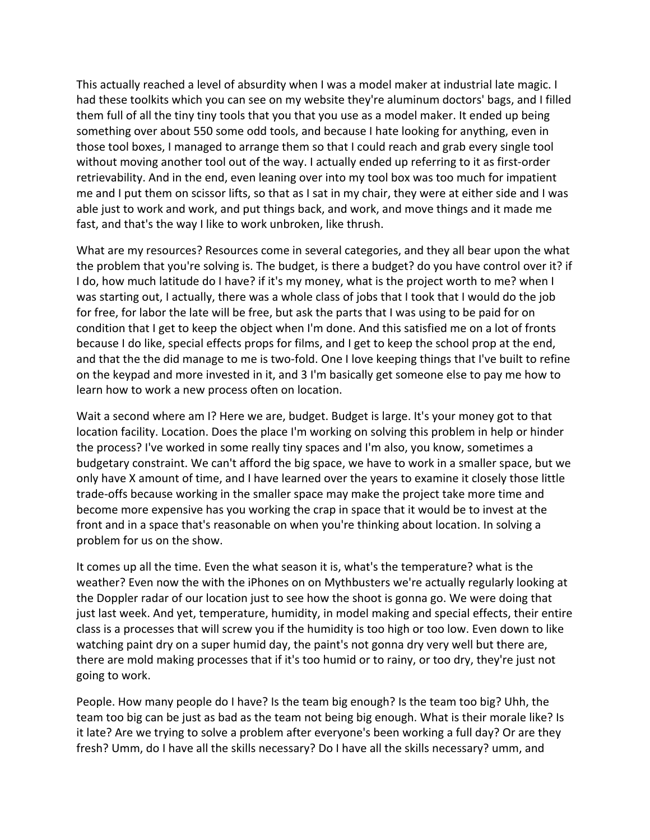This actually reached a level of absurdity when I was a model maker at industrial late magic. I had these toolkits which you can see on my website they're aluminum doctors' bags, and I filled them full of all the tiny tiny tools that you that you use as a model maker. It ended up being something over about 550 some odd tools, and because I hate looking for anything, even in those tool boxes, I managed to arrange them so that I could reach and grab every single tool without moving another tool out of the way. I actually ended up referring to it as first-order retrievability. And in the end, even leaning over into my tool box was too much for impatient me and I put them on scissor lifts, so that as I sat in my chair, they were at either side and I was able just to work and work, and put things back, and work, and move things and it made me fast, and that's the way I like to work unbroken, like thrush.

What are my resources? Resources come in several categories, and they all bear upon the what the problem that you're solving is. The budget, is there a budget? do you have control over it? if I do, how much latitude do I have? if it's my money, what is the project worth to me? when I was starting out, I actually, there was a whole class of jobs that I took that I would do the job for free, for labor the late will be free, but ask the parts that I was using to be paid for on condition that I get to keep the object when I'm done. And this satisfied me on a lot of fronts because I do like, special effects props for films, and I get to keep the school prop at the end, and that the the did manage to me is two-fold. One I love keeping things that I've built to refine on the keypad and more invested in it, and 3 I'm basically get someone else to pay me how to learn how to work a new process often on location.

Wait a second where am I? Here we are, budget. Budget is large. It's your money got to that location facility. Location. Does the place I'm working on solving this problem in help or hinder the process? I've worked in some really tiny spaces and I'm also, you know, sometimes a budgetary constraint. We can't afford the big space, we have to work in a smaller space, but we only have X amount of time, and I have learned over the years to examine it closely those little trade-offs because working in the smaller space may make the project take more time and become more expensive has you working the crap in space that it would be to invest at the front and in a space that's reasonable on when you're thinking about location. In solving a problem for us on the show.

It comes up all the time. Even the what season it is, what's the temperature? what is the weather? Even now the with the iPhones on on Mythbusters we're actually regularly looking at the Doppler radar of our location just to see how the shoot is gonna go. We were doing that just last week. And yet, temperature, humidity, in model making and special effects, their entire class is a processes that will screw you if the humidity is too high or too low. Even down to like watching paint dry on a super humid day, the paint's not gonna dry very well but there are, there are mold making processes that if it's too humid or to rainy, or too dry, they're just not going to work.

People. How many people do I have? Is the team big enough? Is the team too big? Uhh, the team too big can be just as bad as the team not being big enough. What is their morale like? Is it late? Are we trying to solve a problem after everyone's been working a full day? Or are they fresh? Umm, do I have all the skills necessary? Do I have all the skills necessary? umm, and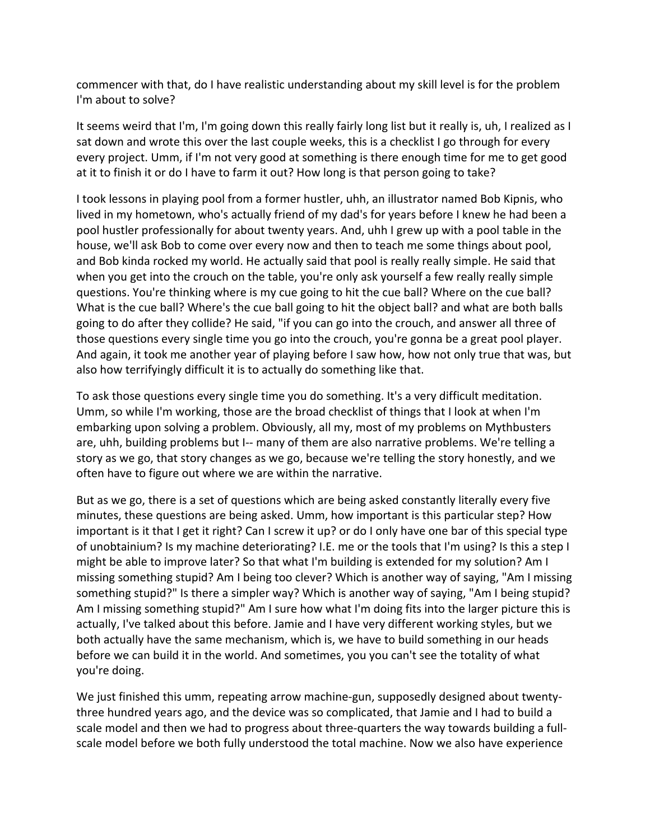commencer with that, do I have realistic understanding about my skill level is for the problem I'm about to solve?

It seems weird that I'm, I'm going down this really fairly long list but it really is, uh, I realized as I sat down and wrote this over the last couple weeks, this is a checklist I go through for every every project. Umm, if I'm not very good at something is there enough time for me to get good at it to finish it or do I have to farm it out? How long is that person going to take?

I took lessons in playing pool from a former hustler, uhh, an illustrator named Bob Kipnis, who lived in my hometown, who's actually friend of my dad's for years before I knew he had been a pool hustler professionally for about twenty years. And, uhh I grew up with a pool table in the house, we'll ask Bob to come over every now and then to teach me some things about pool, and Bob kinda rocked my world. He actually said that pool is really really simple. He said that when you get into the crouch on the table, you're only ask yourself a few really really simple questions. You're thinking where is my cue going to hit the cue ball? Where on the cue ball? What is the cue ball? Where's the cue ball going to hit the object ball? and what are both balls going to do after they collide? He said, "if you can go into the crouch, and answer all three of those questions every single time you go into the crouch, you're gonna be a great pool player. And again, it took me another year of playing before I saw how, how not only true that was, but also how terrifyingly difficult it is to actually do something like that.

To ask those questions every single time you do something. It's a very difficult meditation. Umm, so while I'm working, those are the broad checklist of things that I look at when I'm embarking upon solving a problem. Obviously, all my, most of my problems on Mythbusters are, uhh, building problems but I-- many of them are also narrative problems. We're telling a story as we go, that story changes as we go, because we're telling the story honestly, and we often have to figure out where we are within the narrative.

But as we go, there is a set of questions which are being asked constantly literally every five minutes, these questions are being asked. Umm, how important is this particular step? How important is it that I get it right? Can I screw it up? or do I only have one bar of this special type of unobtainium? Is my machine deteriorating? I.E. me or the tools that I'm using? Is this a step I might be able to improve later? So that what I'm building is extended for my solution? Am I missing something stupid? Am I being too clever? Which is another way of saying, "Am I missing something stupid?" Is there a simpler way? Which is another way of saying, "Am I being stupid? Am I missing something stupid?" Am I sure how what I'm doing fits into the larger picture this is actually, I've talked about this before. Jamie and I have very different working styles, but we both actually have the same mechanism, which is, we have to build something in our heads before we can build it in the world. And sometimes, you you can't see the totality of what you're doing.

We just finished this umm, repeating arrow machine-gun, supposedly designed about twentythree hundred years ago, and the device was so complicated, that Jamie and I had to build a scale model and then we had to progress about three-quarters the way towards building a fullscale model before we both fully understood the total machine. Now we also have experience